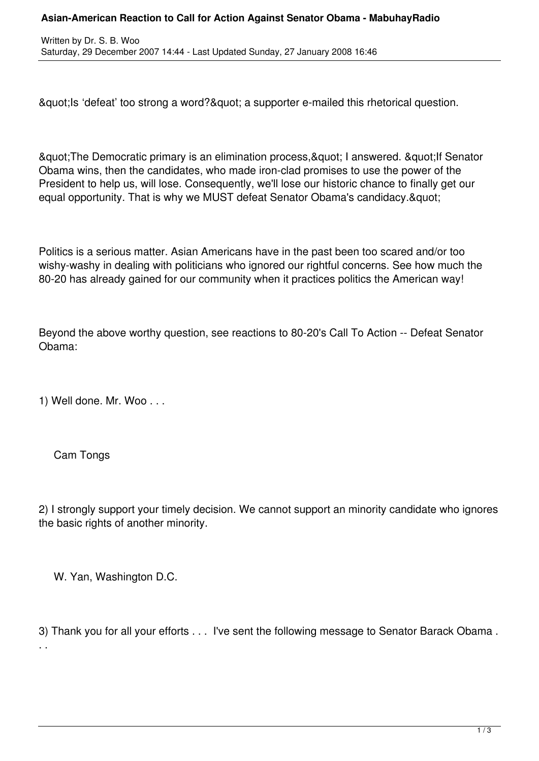## **Asian-American Reaction to Call for Action Against Senator Obama - MabuhayRadio**

& aupt; Is 'defeat' too strong a word? & quot; a supporter e-mailed this rhetorical question.

& guot; The Democratic primary is an elimination process, & guot; I answered. & guot; If Senator Obama wins, then the candidates, who made iron-clad promises to use the power of the President to help us, will lose. Consequently, we'll lose our historic chance to finally get our equal opportunity. That is why we MUST defeat Senator Obama's candidacy. & quot:

Politics is a serious matter. Asian Americans have in the past been too scared and/or too wishy-washy in dealing with politicians who ignored our rightful concerns. See how much the 80-20 has already gained for our community when it practices politics the American way!

Beyond the above worthy question, see reactions to 80-20's Call To Action -- Defeat Senator Obama:

1) Well done. Mr. Woo . . .

Cam Tongs

2) I strongly support your timely decision. We cannot support an minority candidate who ignores the basic rights of another minority.

W. Yan, Washington D.C.

3) Thank you for all your efforts . . . I've sent the following message to Senator Barack Obama . . .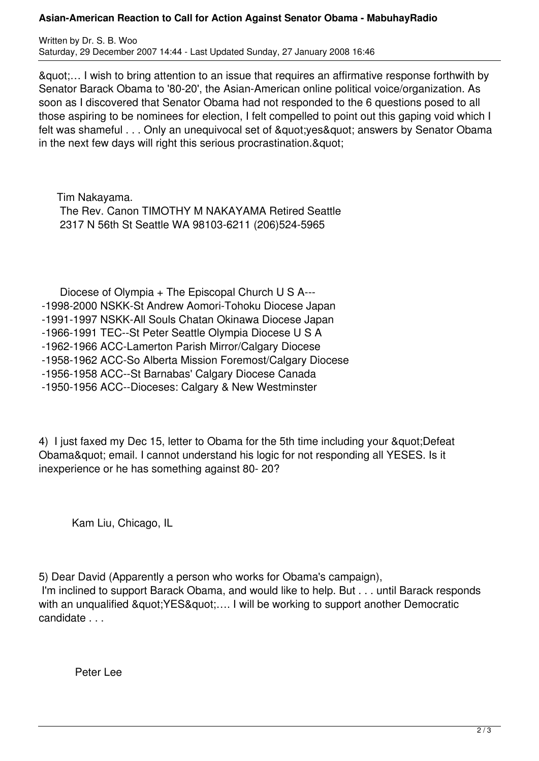## **Asian-American Reaction to Call for Action Against Senator Obama - MabuhayRadio**

Written by Dr. S. B. Woo Saturday, 29 December 2007 14:44 - Last Updated Sunday, 27 January 2008 16:46

"… I wish to bring attention to an issue that requires an affirmative response forthwith by Senator Barack Obama to '80-20', the Asian-American online political voice/organization. As soon as I discovered that Senator Obama had not responded to the 6 questions posed to all those aspiring to be nominees for election, I felt compelled to point out this gaping void which I felt was shameful . . . Only an unequivocal set of " yes " answers by Senator Obama in the next few days will right this serious procrastination. & quot;

 Tim Nakayama. The Rev. Canon TIMOTHY M NAKAYAMA Retired Seattle 2317 N 56th St Seattle WA 98103-6211 (206)524-5965

 Diocese of Olympia + The Episcopal Church U S A--- -1998-2000 NSKK-St Andrew Aomori-Tohoku Diocese Japan -1991-1997 NSKK-All Souls Chatan Okinawa Diocese Japan -1966-1991 TEC--St Peter Seattle Olympia Diocese U S A -1962-1966 ACC-Lamerton Parish Mirror/Calgary Diocese -1958-1962 ACC-So Alberta Mission Foremost/Calgary Diocese -1956-1958 ACC--St Barnabas' Calgary Diocese Canada

-1950-1956 ACC--Dioceses: Calgary & New Westminster

4) I just faxed my Dec 15, letter to Obama for the 5th time including your " Defeat Obama" email. I cannot understand his logic for not responding all YESES. Is it inexperience or he has something against 80- 20?

Kam Liu, Chicago, IL

5) Dear David (Apparently a person who works for Obama's campaign),

 I'm inclined to support Barack Obama, and would like to help. But . . . until Barack responds with an unqualified " YES".... I will be working to support another Democratic candidate . . .

Peter Lee